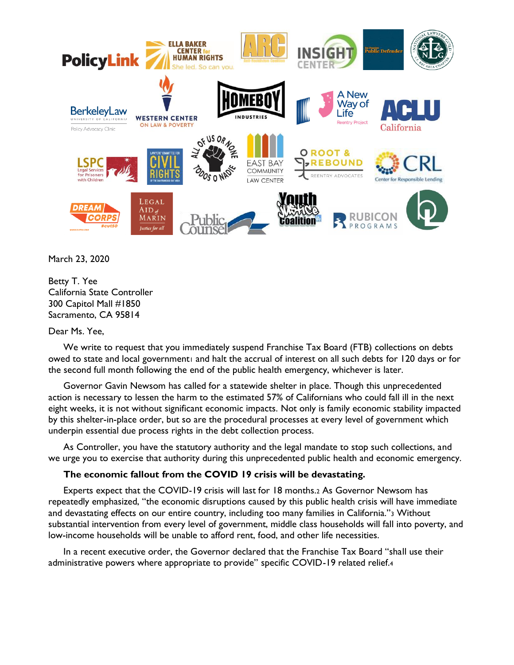

March 23, 2020

Betty T. Yee California State Controller 300 Capitol Mall #1850 Sacramento, CA 95814

## Dear Ms. Yee,

We write to request that you immediately suspend Franchise Tax Board (FTB) collections on debts owed to state and local governmenti and halt the accrual of interest on all such debts for 120 days or for the second full month following the end of the public health emergency, whichever is later.

Governor Gavin Newsom has called for a statewide shelter in place. Though this unprecedented action is necessary to lessen the harm to the estimated 57% of Californians who could fall ill in the next eight weeks, it is not without significant economic impacts. Not only is family economic stability impacted by this shelter-in-place order, but so are the procedural processes at every level of government which underpin essential due process rights in the debt collection process.

As Controller, you have the statutory authority and the legal mandate to stop such collections, and we urge you to exercise that authority during this unprecedented public health and economic emergency.

# **The economic fallout from the COVID 19 crisis will be devastating.**

Experts expect that the COVID-19 crisis will last for 18 months.<sup>2</sup> As Governor Newsom has repeatedly emphasized, "the economic disruptions caused by this public health crisis will have immediate and devastating effects on our entire country, including too many families in California."<sup>3</sup> Without substantial intervention from every level of government, middle class households will fall into poverty, and low-income households will be unable to afford rent, food, and other life necessities.

In a recent executive order, the Governor declared that the Franchise Tax Board "shall use their administrative powers where appropriate to provide" specific COVID-19 related relief.4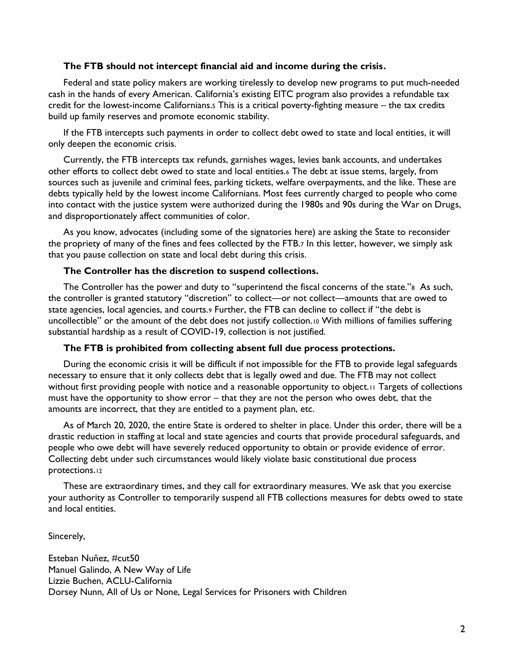## **The FTB should not intercept financial aid and income during the crisis.**

Federal and state policy makers are working tirelessly to develop new programs to put much-needed cash in the hands of every American. California's existing EITC program also provides a refundable tax credit for the lowest-income Californians.<sup>5</sup> This is a critical poverty-fighting measure – the tax credits build up family reserves and promote economic stability.

If the FTB intercepts such payments in order to collect debt owed to state and local entities, it will only deepen the economic crisis.

Currently, the FTB intercepts tax refunds, garnishes wages, levies bank accounts, and undertakes other efforts to collect debt owed to state and local entities.<sup>6</sup> The debt at issue stems, largely, from sources such as juvenile and criminal fees, parking tickets, welfare overpayments, and the like. These are debts typically held by the lowest income Californians. Most fees currently charged to people who come into contact with the justice system were authorized during the 1980s and 90s during the War on Drugs, and disproportionately affect communities of color.

As you know, advocates (including some of the signatories here) are asking the State to reconsider the propriety of many of the fines and fees collected by the FTB.<sup>7</sup> In this letter, however, we simply ask that you pause collection on state and local debt during this crisis.

### **The Controller has the discretion to suspend collections.**

The Controller has the power and duty to "superintend the fiscal concerns of the state."8 As such, the controller is granted statutory "discretion" to collect—or not collect—amounts that are owed to state agencies, local agencies, and courts.<sup>9</sup> Further, the FTB can decline to collect if "the debt is uncollectible" or the amount of the debt does not justify collection.<sup>10</sup> With millions of families suffering substantial hardship as a result of COVID-19, collection is not justified.

### **The FTB is prohibited from collecting absent full due process protections.**

During the economic crisis it will be difficult if not impossible for the FTB to provide legal safeguards necessary to ensure that it only collects debt that is legally owed and due. The FTB may not collect without first providing people with notice and a reasonable opportunity to object.<sup>11</sup> Targets of collections must have the opportunity to show error – that they are not the person who owes debt, that the amounts are incorrect, that they are entitled to a payment plan, etc.

As of March 20, 2020, the entire State is ordered to shelter in place. Under this order, there will be a drastic reduction in staffing at local and state agencies and courts that provide procedural safeguards, and people who owe debt will have severely reduced opportunity to obtain or provide evidence of error. Collecting debt under such circumstances would likely violate basic constitutional due process protections.<sup>12</sup>

These are extraordinary times, and they call for extraordinary measures. We ask that you exercise your authority as Controller to temporarily suspend all FTB collections measures for debts owed to state and local entities.

Sincerely,

Esteban Nuñez, #cut50 Manuel Galindo, A New Way of Life Lizzie Buchen, ACLU-California Dorsey Nunn, All of Us or None, Legal Services for Prisoners with Children